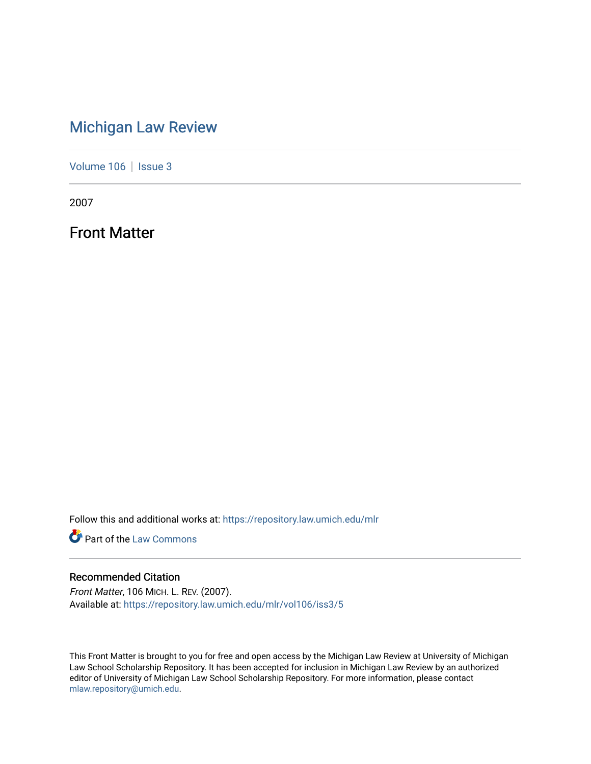## [Michigan Law Review](https://repository.law.umich.edu/mlr)

[Volume 106](https://repository.law.umich.edu/mlr/vol106) | [Issue 3](https://repository.law.umich.edu/mlr/vol106/iss3)

2007

Front Matter

Follow this and additional works at: [https://repository.law.umich.edu/mlr](https://repository.law.umich.edu/mlr?utm_source=repository.law.umich.edu%2Fmlr%2Fvol106%2Fiss3%2F5&utm_medium=PDF&utm_campaign=PDFCoverPages) 

**Part of the [Law Commons](http://network.bepress.com/hgg/discipline/578?utm_source=repository.law.umich.edu%2Fmlr%2Fvol106%2Fiss3%2F5&utm_medium=PDF&utm_campaign=PDFCoverPages)** 

#### Recommended Citation

Front Matter, 106 MICH. L. REV. (2007). Available at: [https://repository.law.umich.edu/mlr/vol106/iss3/5](https://repository.law.umich.edu/mlr/vol106/iss3/5?utm_source=repository.law.umich.edu%2Fmlr%2Fvol106%2Fiss3%2F5&utm_medium=PDF&utm_campaign=PDFCoverPages) 

This Front Matter is brought to you for free and open access by the Michigan Law Review at University of Michigan Law School Scholarship Repository. It has been accepted for inclusion in Michigan Law Review by an authorized editor of University of Michigan Law School Scholarship Repository. For more information, please contact [mlaw.repository@umich.edu.](mailto:mlaw.repository@umich.edu)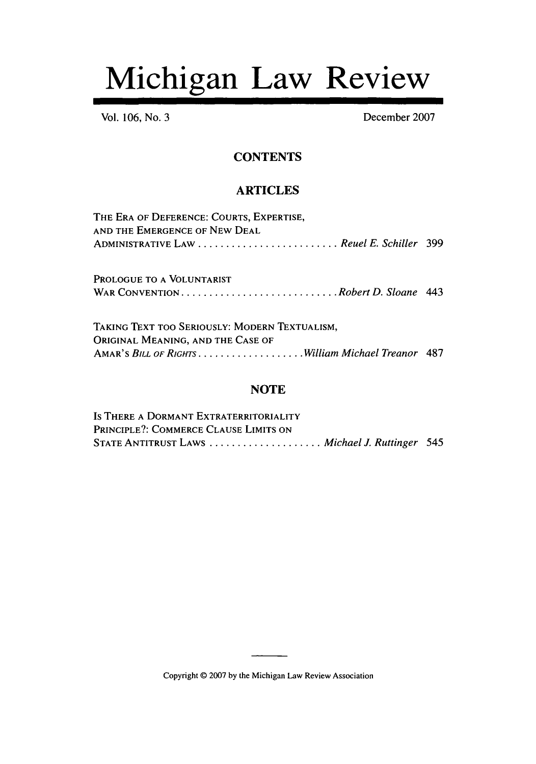# Michigan Law Review

Vol. **106,** No. **3** December 2007

### **CONTENTS**

#### ARTICLES

| THE ERA OF DEFERENCE: COURTS, EXPERTISE, |  |
|------------------------------------------|--|
| AND THE EMERGENCE OF NEW DEAL            |  |
| ADMINISTRATIVE LAW Reuel E. Schiller 399 |  |

PROLOGUE TO A VOLUNTARIST W AR CONVENTION ........................... *.Robert D. Sloane 443*

TAKING TEXT TOO SERIOUSLY: MODERN TEXTUALISM, ORIGINAL MEANING, AND THE CASE OF AMAR'S *BILL OF RIGHTS .................... William Michael Treanor* 487

#### **NOTE**

Is THERE A DORMANT EXTRATERRITORIALITY PRINCIPLE?: COMMERCE CLAUSE LIMITS ON STATE ANTITRUST LAWS ..................... *Michael J. Ruttinger 545*

Copyright © 2007 by the Michigan Law Review Association